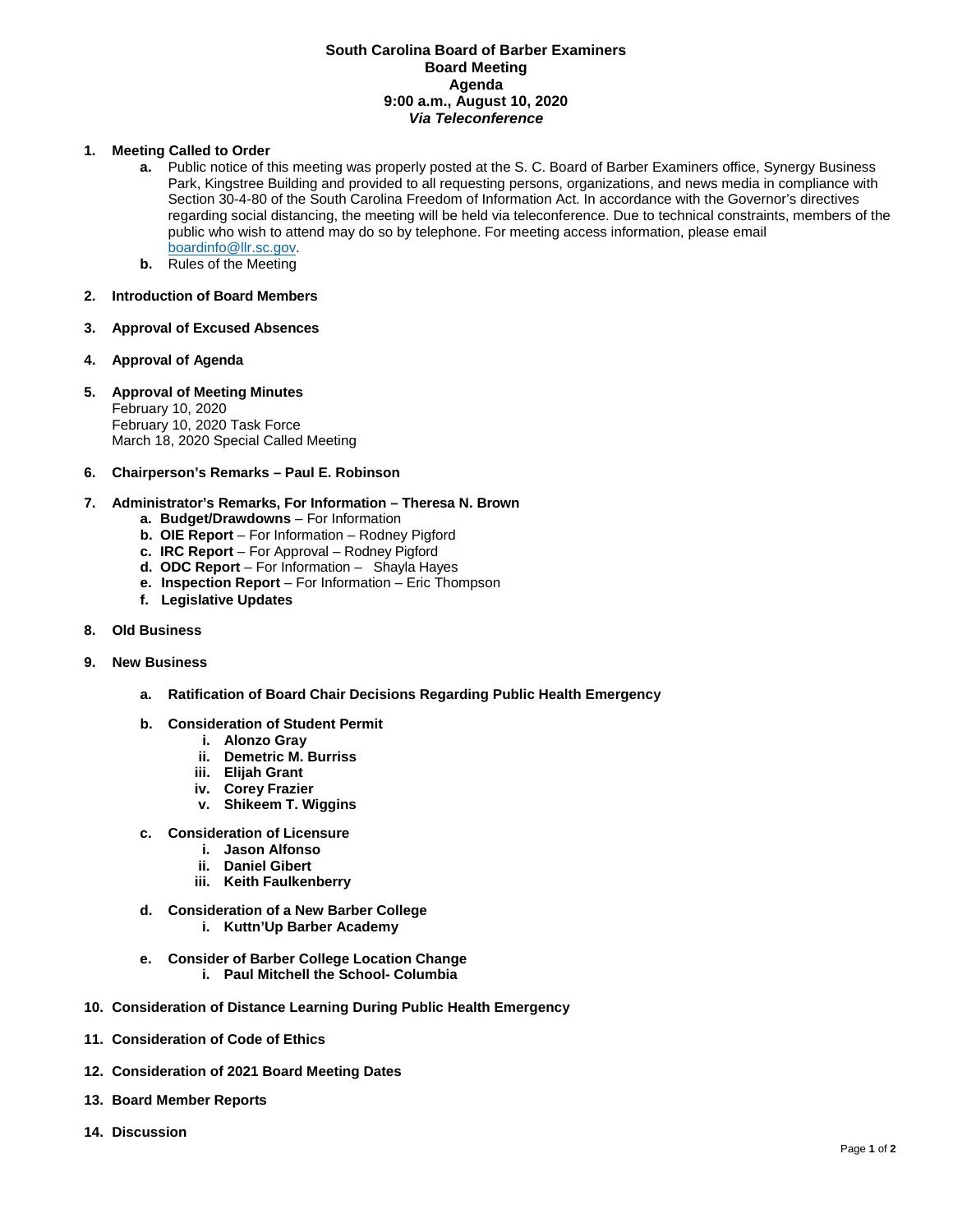## **South Carolina Board of Barber Examiners Board Meeting Agenda 9:00 a.m., August 10, 2020** *Via Teleconference*

## **1. Meeting Called to Order**

- **a.** Public notice of this meeting was properly posted at the S. C. Board of Barber Examiners office, Synergy Business Park, Kingstree Building and provided to all requesting persons, organizations, and news media in compliance with Section 30-4-80 of the South Carolina Freedom of Information Act. In accordance with the Governor's directives regarding social distancing, the meeting will be held via teleconference. Due to technical constraints, members of the public who wish to attend may do so by telephone. For meeting access information, please email [boardinfo@llr.sc.gov.](mailto:boardinfo@llr.sc.gov)
- **b.** Rules of the Meeting

### **2. Introduction of Board Members**

- **3. Approval of Excused Absences**
- **4. Approval of Agenda**
- **5. Approval of Meeting Minutes** February 10, 2020 February 10, 2020 Task Force March 18, 2020 Special Called Meeting
- **6. Chairperson's Remarks – Paul E. Robinson**
- **7. Administrator's Remarks, For Information – Theresa N. Brown**
	- **a. Budget/Drawdowns** For Information
	- **b. OIE Report**  For Information Rodney Pigford
	- **c. IRC Report**  For Approval Rodney Pigford
	- **d. ODC Report**  For Information Shayla Hayes
	- **e. Inspection Report** For Information Eric Thompson
	- **f. Legislative Updates**
- **8. Old Business**

#### **9. New Business**

- **a. Ratification of Board Chair Decisions Regarding Public Health Emergency**
- **b. Consideration of Student Permit** 
	- **i. Alonzo Gray**
	- **ii. Demetric M. Burriss**
	- **iii. Elijah Grant**
	- **iv. Corey Frazier**
	- **v. Shikeem T. Wiggins**
- **c. Consideration of Licensure** 
	- **i. Jason Alfonso**
	- **ii. Daniel Gibert**
	- **iii. Keith Faulkenberry**
- **d. Consideration of a New Barber College**
	- **i. Kuttn'Up Barber Academy**
- **e. Consider of Barber College Location Change** 
	- **i. Paul Mitchell the School- Columbia**
- **10. Consideration of Distance Learning During Public Health Emergency**
- **11. Consideration of Code of Ethics**
- **12. Consideration of 2021 Board Meeting Dates**
- **13. Board Member Reports**
- **14. Discussion**